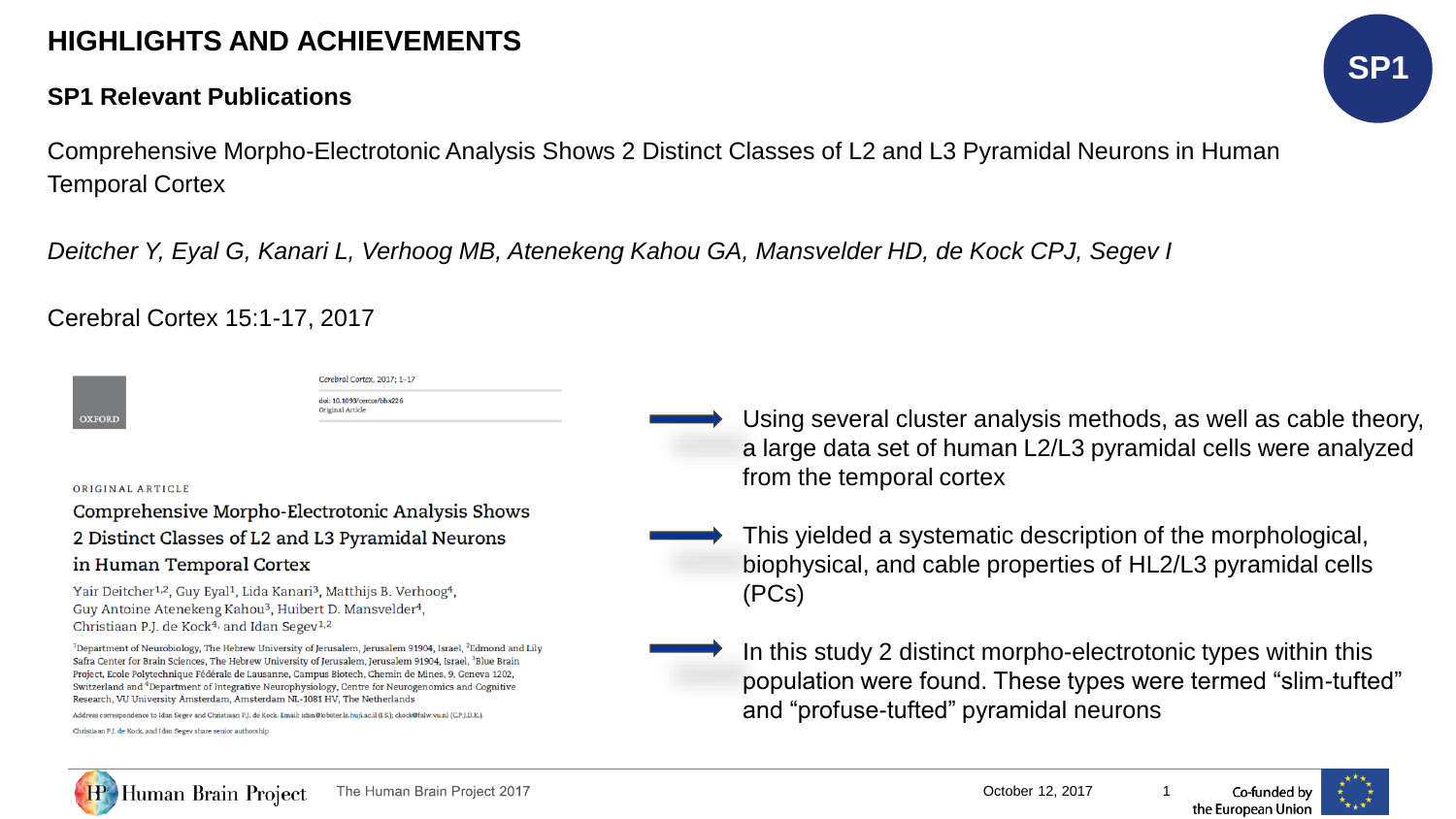# **HIGHLIGHTS AND ACHIEVEMENTS**

### **SP1 Relevant Publications**



Comprehensive Morpho-Electrotonic Analysis Shows 2 Distinct Classes of L2 and L3 Pyramidal Neurons in Human Temporal Cortex

*Deitcher Y, Eyal G, Kanari L, Verhoog MB, Atenekeng Kahou GA, Mansvelder HD, de Kock CPJ, Segev I*

Cerebral Cortex 15:1-17, 2017

| <b>OXFORD</b> |  |
|---------------|--|

Cerebral Cortex, 2017: 1-17 doi: 10.1093/cercor/bhx226 Original Article

#### ORIGINAL ARTICLE

Comprehensive Morpho-Electrotonic Analysis Shows 2 Distinct Classes of L2 and L3 Pyramidal Neurons

### in Human Temporal Cortex

Yair Deitcher<sup>1,2</sup>, Guy Eyal<sup>1</sup>, Lida Kanari<sup>3</sup>, Matthijs B. Verhoog<sup>4</sup>, Guy Antoine Atenekeng Kahou<sup>3</sup>, Huibert D. Mansvelder<sup>4</sup>, Christiaan P.J. de Kock<sup>4,</sup> and Idan Segev<sup>1,2</sup>

<sup>1</sup>Department of Neurobiology, The Hebrew University of Jerusalem, Jerusalem 91904, Israel, <sup>2</sup>Edmond and Lily Safra Center for Brain Sciences, The Hebrew University of Jerusalem, Jerusalem 91904, Israel, <sup>3</sup>Blue Brain Project, Ecole Polytechnique Fédérale de Lausanne, Campus Biotech, Chemin de Mines, 9, Geneva 1202, Switzerland and <sup>4</sup>Department of Integrative Neurophysiology, Centre for Neurogenomics and Cognitive Research, VU University Amsterdam, Amsterdam NL-1081 HV, The Netherlands

Address correspondence to Idan Segev and Christiaan P.J. de Kock. Email: idan@lobster.ls.huji.ac.il (I.S.); ckock@falw.vu.nl (C.P.J.D.K.).

Christiaan P.J. de Kock, and Idan Segev share senior authorship

- Using several cluster analysis methods, as well as cable theory, a large data set of human L2/L3 pyramidal cells were analyzed from the temporal cortex
- This yielded a systematic description of the morphological, biophysical, and cable properties of HL2/L3 pyramidal cells (PCs)
- In this study 2 distinct morpho-electrotonic types within this population were found. These types were termed "slim-tufted" and "profuse-tufted" pyramidal neurons